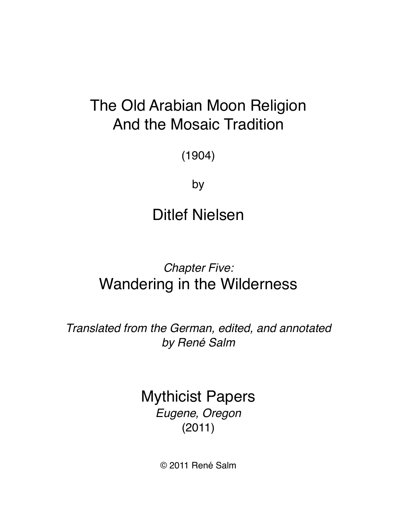# The Old Arabian Moon Religion And the Mosaic Tradition

(1904)

by

Ditlef Nielsen

## *Chapter Five:* Wandering in the Wilderness

*Translated from the German, edited, and annotated by René Salm*

> Mythicist Papers *Eugene, Oregon*  (2011)

> > © 2011 René Salm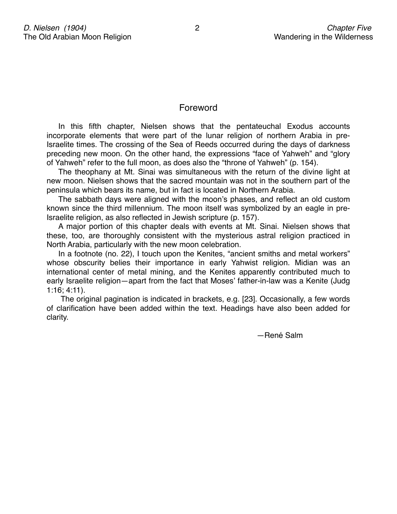## Foreword

In this fifth chapter, Nielsen shows that the pentateuchal Exodus accounts incorporate elements that were part of the lunar religion of northern Arabia in pre-Israelite times. The crossing of the Sea of Reeds occurred during the days of darkness preceding new moon. On the other hand, the expressions "face of Yahweh" and "glory of Yahweh" refer to the full moon, as does also the "throne of Yahweh" (p. 154).

The theophany at Mt. Sinai was simultaneous with the return of the divine light at new moon. Nielsen shows that the sacred mountain was not in the southern part of the peninsula which bears its name, but in fact is located in Northern Arabia.

The sabbath days were aligned with the moon's phases, and reflect an old custom known since the third millennium. The moon itself was symbolized by an eagle in pre-Israelite religion, as also reflected in Jewish scripture (p. 157).

A major portion of this chapter deals with events at Mt. Sinai. Nielsen shows that these, too, are thoroughly consistent with the mysterious astral religion practiced in North Arabia, particularly with the new moon celebration.

In a footnote (no. 22), I touch upon the Kenites, "ancient smiths and metal workers" whose obscurity belies their importance in early Yahwist religion. Midian was an international center of metal mining, and the Kenites apparently contributed much to early Israelite religion—apart from the fact that Moses' father-in-law was a Kenite (Judg 1:16; 4:11).

 The original pagination is indicated in brackets, e.g. [23]. Occasionally, a few words of clarification have been added within the text. Headings have also been added for clarity.

 $-$  René Salm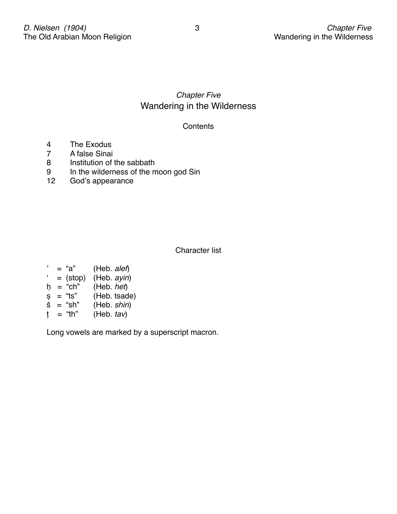## *Chapter Five* Wandering in the Wilderness

## **Contents**

- 4 The Exodus<br>7 A false Sinai
- 7 A false Sinai<br>8 Institution of t
- Institution of the sabbath
- 9 In the wilderness of the moon god Sin<br>12 God's appearance
- God's appearance

Character list

| , | = "a"      | (Heb. alef)   |
|---|------------|---------------|
| £ | $=$ (stop) | (Heb. ayin)   |
| h | $=$ "ch"   | (Heb. het)    |
| Ş | = "ts"     | (Heb. tsade)  |
| ŝ | $=$ "sh"   | (Heb. shin)   |
| t | = "th"     | (Heb. $tav$ ) |
|   |            |               |

Long vowels are marked by a superscript macron.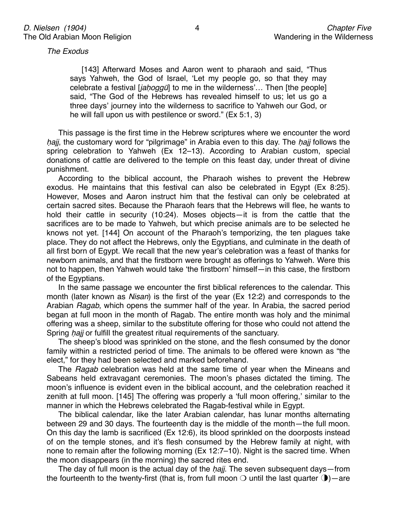*The Exodus*

[143] Afterward Moses and Aaron went to pharaoh and said, "Thus says Yahweh, the God of Israel, ʻLet my people go, so that they may celebrate a festival [*ja*ḥ*ogg*ū] to me in the wilderness'… Then [the people] said, "The God of the Hebrews has revealed himself to us; let us go a three days' journey into the wilderness to sacrifice to Yahweh our God, or he will fall upon us with pestilence or sword." (Ex 5:1, 3)

This passage is the first time in the Hebrew scriptures where we encounter the word haji, the customary word for "pilgrimage" in Arabia even to this day. The hajj follows the spring celebration to Yahweh (Ex 12–13). According to Arabian custom, special donations of cattle are delivered to the temple on this feast day, under threat of divine punishment.

According to the biblical account, the Pharaoh wishes to prevent the Hebrew exodus. He maintains that this festival can also be celebrated in Egypt (Ex 8:25). However, Moses and Aaron instruct him that the festival can only be celebrated at certain sacred sites. Because the Pharaoh fears that the Hebrews will flee, he wants to hold their cattle in security (10:24). Moses objects—it is from the cattle that the sacrifices are to be made to Yahweh, but which precise animals are to be selected he knows not yet. [144] On account of the Pharaoh's temporizing, the ten plagues take place. They do not affect the Hebrews, only the Egyptians, and culminate in the death of all first born of Egypt. We recall that the new year's celebration was a feast of thanks for newborn animals, and that the firstborn were brought as offerings to Yahweh. Were this not to happen, then Yahweh would take ʻthe firstborn' himself—in this case, the firstborn of the Egyptians.

In the same passage we encounter the first biblical references to the calendar. This month (later known as *Nisan*) is the first of the year (Ex 12:2) and corresponds to the Arabian *Ragab*, which opens the summer half of the year. In Arabia, the sacred period began at full moon in the month of Ragab. The entire month was holy and the minimal offering was a sheep, similar to the substitute offering for those who could not attend the Spring *hajj* or fulfill the greatest ritual requirements of the sanctuary.

The sheep's blood was sprinkled on the stone, and the flesh consumed by the donor family within a restricted period of time. The animals to be offered were known as "the elect," for they had been selected and marked beforehand.

The *Ragab* celebration was held at the same time of year when the Mineans and Sabeans held extravagant ceremonies. The moon's phases dictated the timing. The moon's influence is evident even in the biblical account, and the celebration reached it zenith at full moon. [145] The offering was properly a ʻfull moon offering,' similar to the manner in which the Hebrews celebrated the Ragab-festival while in Egypt.

The biblical calendar, like the later Arabian calendar, has lunar months alternating between 29 and 30 days. The fourteenth day is the middle of the month—the full moon. On this day the lamb is sacrificed (Ex 12:6), its blood sprinkled on the doorposts instead of on the temple stones, and it's flesh consumed by the Hebrew family at night, with none to remain after the following morning (Ex 12:7–10). Night is the sacred time. When the moon disappears (in the morning) the sacred rites end.

The day of full moon is the actual day of the ḥ*ajj*. The seven subsequent days—from the fourteenth to the twenty-first (that is, from full moon  $\bigcirc$  until the last quarter  $\bigcirc$ ) — are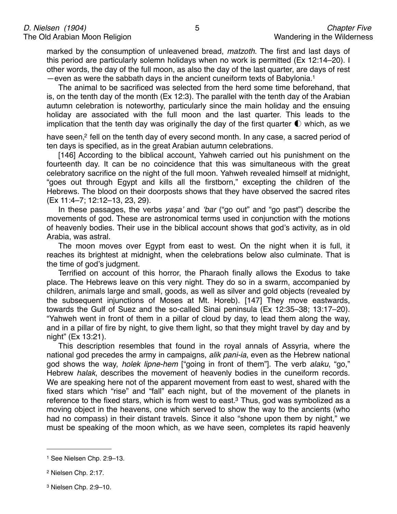marked by the consumption of unleavened bread, *matzoth*. The first and last days of this period are particularly solemn holidays when no work is permitted (Ex 12:14–20). I other words, the day of the full moon, as also the day of the last quarter, are days of rest —even as were the sabbath days in the ancient cuneiform texts of Babylonia[.1](#page-4-0)

The animal to be sacrificed was selected from the herd some time beforehand, that is, on the tenth day of the month (Ex 12:3). The parallel with the tenth day of the Arabian autumn celebration is noteworthy, particularly since the main holiday and the ensuing holiday are associated with the full moon and the last quarter. This leads to the implication that the tenth day was originally the day of the first quarter  $\mathbb O$  which, as we

have seen,<sup>2</sup> fell on the tenth day of every second month. In any case, a sacred period of ten days is specified, as in the great Arabian autumn celebrations.

[146] According to the biblical account, Yahweh carried out his punishment on the fourteenth day. It can be no coincidence that this was simultaneous with the great celebratory sacrifice on the night of the full moon. Yahweh revealed himself at midnight, "goes out through Egypt and kills all the firstborn," excepting the children of the Hebrews. The blood on their doorposts shows that they have observed the sacred rites (Ex 11:4–7; 12:12–13, 23, 29).

In these passages, the verbs *ya*ṣ*a*' and ʻ*bar* ("go out" and "go past") describe the movements of god. These are astronomical terms used in conjunction with the motions of heavenly bodies. Their use in the biblical account shows that god's activity, as in old Arabia, was astral.

The moon moves over Egypt from east to west. On the night when it is full, it reaches its brightest at midnight, when the celebrations below also culminate. That is the time of god's judgment.

Terrified on account of this horror, the Pharaoh finally allows the Exodus to take place. The Hebrews leave on this very night. They do so in a swarm, accompanied by children, animals large and small, goods, as well as silver and gold objects (revealed by the subsequent injunctions of Moses at Mt. Horeb). [147] They move eastwards, towards the Gulf of Suez and the so-called Sinai peninsula (Ex 12:35–38; 13:17–20). "Yahweh went in front of them in a pillar of cloud by day, to lead them along the way, and in a pillar of fire by night, to give them light, so that they might travel by day and by night" (Ex 13:21).

This description resembles that found in the royal annals of Assyria, where the national god precedes the army in campaigns, *alik pani-ia*, even as the Hebrew national god shows the way, *holek lipne-hem* ["going in front of them"]. The verb *alaku*, "go," Hebrew *halak*, describes the movement of heavenly bodies in the cuneiform records. We are speaking here not of the apparent movement from east to west, shared with the fixed stars which "rise" and "fall" each night, but of the movement of the planets in reference to the fixed stars, which is from west to east.<sup>3</sup> Thus, god was symbolized as a moving object in the heavens, one which served to show the way to the ancients (who had no compass) in their distant travels. Since it also "shone upon them by night," we must be speaking of the moon which, as we have seen, completes its rapid heavenly

<span id="page-4-0"></span><sup>1</sup> See Nielsen Chp. 2:9–13.

<span id="page-4-1"></span><sup>2</sup> Nielsen Chp. 2:17.

<span id="page-4-2"></span><sup>3</sup> Nielsen Chp. 2:9–10.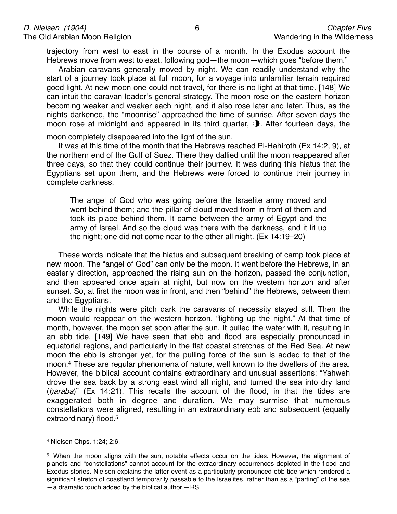trajectory from west to east in the course of a month. In the Exodus account the Hebrews move from west to east, following god—the moon—which goes "before them."

Arabian caravans generally moved by night. We can readily understand why the start of a journey took place at full moon, for a voyage into unfamiliar terrain required good light. At new moon one could not travel, for there is no light at that time. [148] We can intuit the caravan leader's general strategy. The moon rose on the eastern horizon becoming weaker and weaker each night, and it also rose later and later. Thus, as the nights darkened, the "moonrise" approached the time of sunrise. After seven days the moon rose at midnight and appeared in its third quarter, **D**. After fourteen days, the

moon completely disappeared into the light of the sun.

It was at this time of the month that the Hebrews reached Pi-Hahiroth (Ex 14:2, 9), at the northern end of the Gulf of Suez. There they dallied until the moon reappeared after three days, so that they could continue their journey. It was during this hiatus that the Egyptians set upon them, and the Hebrews were forced to continue their journey in complete darkness.

The angel of God who was going before the Israelite army moved and went behind them; and the pillar of cloud moved from in front of them and took its place behind them. It came between the army of Egypt and the army of Israel. And so the cloud was there with the darkness, and it lit up the night; one did not come near to the other all night. (Ex 14:19–20)

These words indicate that the hiatus and subsequent breaking of camp took place at new moon. The "angel of God" can only be the moon. It went before the Hebrews, in an easterly direction, approached the rising sun on the horizon, passed the conjunction, and then appeared once again at night, but now on the western horizon and after sunset. So, at first the moon was in front, and then "behind" the Hebrews, between them and the Egyptians.

While the nights were pitch dark the caravans of necessity stayed still. Then the moon would reappear on the western horizon, "lighting up the night." At that time of month, however, the moon set soon after the sun. It pulled the water with it, resulting in an ebb tide. [149] We have seen that ebb and flood are especially pronounced in equatorial regions, and particularly in the flat coastal stretches of the Red Sea. At new moon the ebb is stronger yet, for the pulling force of the sun is added to that of the moon[.4](#page-5-0) These are regular phenomena of nature, well known to the dwellers of the area. However, the biblical account contains extraordinary and unusual assertions: "Yahweh drove the sea back by a strong east wind all night, and turned the sea into dry land (ḥ*araba*)" (Ex 14:21). This recalls the account of the flood, in that the tides are exaggerated both in degree and duration. We may surmise that numerous constellations were aligned, resulting in an extraordinary ebb and subsequent (equally extraordinary) flood.<sup>5</sup>

<span id="page-5-0"></span><sup>4</sup> Nielsen Chps. 1:24; 2:6.

<span id="page-5-1"></span><sup>5</sup> When the moon aligns with the sun, notable effects occur on the tides. However, the alignment of planets and "constellations" cannot account for the extraordinary occurrences depicted in the flood and Exodus stories. Nielsen explains the latter event as a particularly pronounced ebb tide which rendered a significant stretch of coastland temporarily passable to the Israelites, rather than as a "parting" of the sea —a dramatic touch added by the biblical author.—RS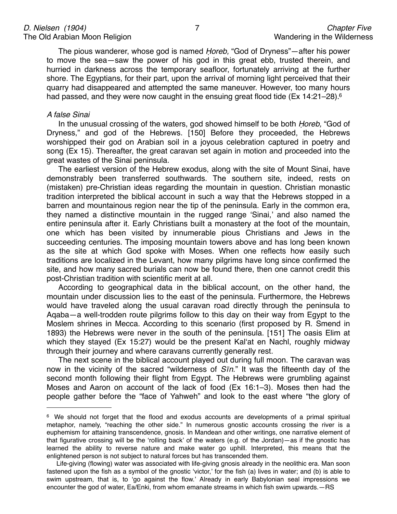The pious wanderer, whose god is named Ḥ*oreb,* "God of Dryness"—after his power to move the sea—saw the power of his god in this great ebb, trusted therein, and hurried in darkness across the temporary seafloor, fortunately arriving at the further shore. The Egyptians, for their part, upon the arrival of morning light perceived that their quarry had disappeared and attempted the same maneuver. However, too many hours had passed, and they were now caught in the ensuing great flood tide (Ex 14:21–28).<sup>6</sup>

#### *A false Sinai*

In the unusual crossing of the waters, god showed himself to be both Ḥ*oreb,* "God of Dryness," and god of the Hebrews. [150] Before they proceeded, the Hebrews worshipped their god on Arabian soil in a joyous celebration captured in poetry and song (Ex 15). Thereafter, the great caravan set again in motion and proceeded into the great wastes of the Sinai peninsula.

The earliest version of the Hebrew exodus, along with the site of Mount Sinai, have demonstrably been transferred southwards. The southern site, indeed, rests on (mistaken) pre-Christian ideas regarding the mountain in question. Christian monastic tradition interpreted the biblical account in such a way that the Hebrews stopped in a barren and mountainous region near the tip of the peninsula. Early in the common era, they named a distinctive mountain in the rugged range ʻSinai,' and also named the entire peninsula after it. Early Christians built a monastery at the foot of the mountain, one which has been visited by innumerable pious Christians and Jews in the succeeding centuries. The imposing mountain towers above and has long been known as the site at which God spoke with Moses. When one reflects how easily such traditions are localized in the Levant, how many pilgrims have long since confirmed the site, and how many sacred burials can now be found there, then one cannot credit this post-Christian tradition with scientific merit at all.

According to geographical data in the biblical account, on the other hand, the mountain under discussion lies to the east of the peninsula. Furthermore, the Hebrews would have traveled along the usual caravan road directly through the peninsula to Aqaba—a well-trodden route pilgrims follow to this day on their way from Egypt to the Moslem shrines in Mecca. According to this scenario (first proposed by R. Smend in 1893) the Hebrews were never in the south of the peninsula. [151] The oasis Elim at which they stayed (Ex 15:27) would be the present Kalʻat en Nachl, roughly midway through their journey and where caravans currently generally rest.

The next scene in the biblical account played out during full moon. The caravan was now in the vicinity of the sacred "wilderness of *S*ī*n*." It was the fifteenth day of the second month following their flight from Egypt. The Hebrews were grumbling against Moses and Aaron on account of the lack of food (Ex 16:1–3). Moses then had the people gather before the "face of Yahweh" and look to the east where "the glory of

<span id="page-6-0"></span><sup>6</sup> We should not forget that the flood and exodus accounts are developments of a primal spiritual metaphor, namely, "reaching the other side." In numerous gnostic accounts crossing the river is a euphemism for attaining transcendence, gnosis. In Mandean and other writings, one narrative element of that figurative crossing will be the ʻrolling back' of the waters (e.g. of the Jordan)—as if the gnostic has learned the ability to reverse nature and make water go uphill. Interpreted, this means that the enlightened person is not subject to natural forces but has transcended them.

Life-giving (flowing) water was associated with life-giving gnosis already in the neolithic era. Man soon fastened upon the fish as a symbol of the gnostic ʻvictor,' for the fish (a) lives in water; and (b) is able to swim upstream, that is, to ʻgo against the flow.' Already in early Babylonian seal impressions we encounter the god of water, Ea/Enki, from whom emanate streams in which fish swim upwards.—RS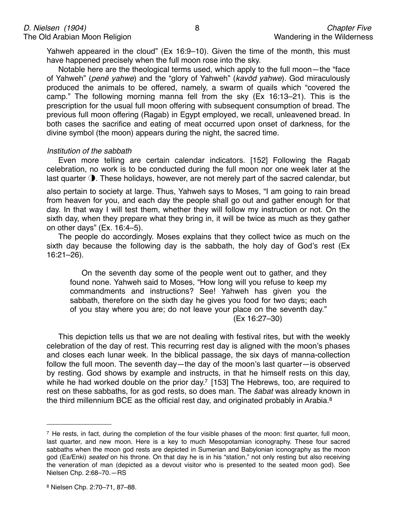Yahweh appeared in the cloud" (Ex 16:9–10). Given the time of the month, this must have happened precisely when the full moon rose into the sky.

Notable here are the theological terms used, which apply to the full moon—the "face of Yahweh" (*pen*ē *yahwe*) and the "glory of Yahweh" (*kav*ō*d yahwe*). God miraculously produced the animals to be offered, namely, a swarm of quails which "covered the camp." The following morning manna fell from the sky (Ex 16:13–21). This is the prescription for the usual full moon offering with subsequent consumption of bread. The previous full moon offering (Ragab) in Egypt employed, we recall, unleavened bread. In both cases the sacrifice and eating of meat occurred upon onset of darkness, for the divine symbol (the moon) appears during the night, the sacred time.

#### *Institution of the sabbath*

Even more telling are certain calendar indicators. [152] Following the Ragab celebration, no work is to be conducted during the full moon nor one week later at the last quarter  $\odot$ . These holidays, however, are not merely part of the sacred calendar, but

also pertain to society at large. Thus, Yahweh says to Moses, "I am going to rain bread from heaven for you, and each day the people shall go out and gather enough for that day. In that way I will test them, whether they will follow my instruction or not. On the sixth day, when they prepare what they bring in, it will be twice as much as they gather on other days" (Ex. 16:4–5).

The people do accordingly. Moses explains that they collect twice as much on the sixth day because the following day is the sabbath, the holy day of God's rest (Ex 16:21–26).

On the seventh day some of the people went out to gather, and they found none. Yahweh said to Moses, "How long will you refuse to keep my commandments and instructions? See! Yahweh has given you the sabbath, therefore on the sixth day he gives you food for two days; each of you stay where you are; do not leave your place on the seventh day."  $(Ex 16:27-30)$ 

This depiction tells us that we are not dealing with festival rites, but with the weekly celebration of the day of rest. This recurring rest day is aligned with the moon's phases and closes each lunar week. In the biblical passage, the six days of manna-collection follow the full moon. The seventh day—the day of the moon's last quarter—is observed by resting. God shows by example and instructs, in that he himself rests on this day, while he had worked double on the prior day.<sup>7</sup> [153] The Hebrews, too, are required to rest on these sabbaths, for as god rests, so does man. The ŝ*abat* was already known in the third millennium BCE as the official rest day, and originated probably in Arabia.<sup>8</sup>

<span id="page-7-1"></span><span id="page-7-0"></span><sup>7</sup> He rests, in fact, during the completion of the four visible phases of the moon: first quarter, full moon, last quarter, and new moon. Here is a key to much Mesopotamian iconography. These four sacred sabbaths when the moon god rests are depicted in Sumerian and Babylonian iconography as the moon god (Ea/Enki) *seated* on his throne. On that day he is in his "station," not only resting but also receiving the veneration of man (depicted as a devout visitor who is presented to the seated moon god). See Nielsen Chp. 2:68–70.—RS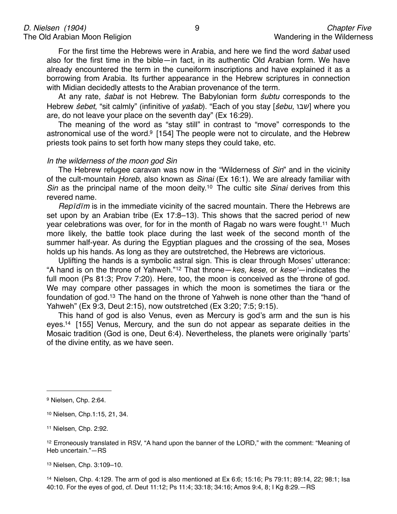For the first time the Hebrews were in Arabia, and here we find the word ŝ*abat* used also for the first time in the bible—in fact, in its authentic Old Arabian form. We have already encountered the term in the cuneiform inscriptions and have explained it as a borrowing from Arabia. Its further appearance in the Hebrew scriptures in connection with Midian decidedly attests to the Arabian provenance of the term.

At any rate, ŝ*abat* is not Hebrew. The Babylonian form ŝ*ubtu* corresponds to the Hebrew *ŝebet*, "sit calmly" (infinitive of *yaŝab*). "Each of you stay [*ŝebu*, שבו] where you are, do not leave your place on the seventh day" (Ex 16:29).

The meaning of the word as "stay still" in contrast to "move" corresponds to the astronomical use of the word[.9](#page-8-0) [154] The people were not to circulate, and the Hebrew priests took pains to set forth how many steps they could take, etc.

#### *In the wilderness of the moon god Sin*

The Hebrew refugee caravan was now in the "Wilderness of *Sin*" and in the vicinity of the cult-mountain Ḥ*oreb*, also known as *Sinai* (Ex 16:1). We are already familiar with *Sin* as the principal name of the moon deity.[10](#page-8-1) The cultic site *Sinai* derives from this revered name.

*Rep*ī*d*ī*m* is in the immediate vicinity of the sacred mountain. There the Hebrews are set upon by an Arabian tribe (Ex 17:8–13). This shows that the sacred period of new year celebrations was over, for for in the month of Ragab no wars were fought[.11](#page-8-2) Much more likely, the battle took place during the last week of the second month of the summer half-year. As during the Egyptian plagues and the crossing of the sea, Moses holds up his hands. As long as they are outstretched, the Hebrews are victorious.

Uplifting the hands is a symbolic astral sign. This is clear through Moses' utterance: "A hand is on the throne of Yahweh."[12](#page-8-3) That throne—*kes, kese,* or *kese*ʻ—indicates the full moon (Ps 81:3; Prov 7:20). Here, too, the moon is conceived as the throne of god. We may compare other passages in which the moon is sometimes the tiara or the foundation of god[.13](#page-8-4) The hand on the throne of Yahweh is none other than the "hand of Yahweh" (Ex 9:3, Deut 2:15), now outstretched (Ex 3:20; 7:5; 9:15).

This hand of god is also Venus, even as Mercury is god's arm and the sun is his eyes[.14](#page-8-5) [155] Venus, Mercury, and the sun do not appear as separate deities in the Mosaic tradition (God is one, Deut 6:4). Nevertheless, the planets were originally ʻparts' of the divine entity, as we have seen.

<span id="page-8-2"></span>11 Nielsen, Chp. 2:92.

<span id="page-8-0"></span><sup>9</sup> Nielsen, Chp. 2:64.

<span id="page-8-1"></span><sup>10</sup> Nielsen, Chp.1:15, 21, 34.

<span id="page-8-3"></span><sup>12</sup> Erroneously translated in RSV, "A hand upon the banner of the LORD," with the comment: "Meaning of Heb uncertain."—RS

<span id="page-8-4"></span><sup>13</sup> Nielsen, Chp. 3:109–10.

<span id="page-8-5"></span><sup>14</sup> Nielsen, Chp. 4:129. The arm of god is also mentioned at Ex 6:6; 15:16; Ps 79:11; 89:14, 22; 98:1; Isa 40:10. For the eyes of god, cf. Deut 11:12; Ps 11:4; 33:18; 34:16; Amos 9:4, 8; I Kg 8:29.—RS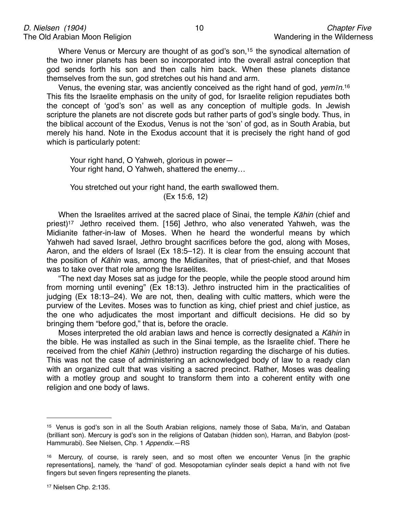Where Venus or Mercury are thought of as god's son,<sup>15</sup> the synodical alternation of the two inner planets has been so incorporated into the overall astral conception that god sends forth his son and then calls him back. When these planets distance themselves from the sun, god stretches out his hand and arm.

Venus, the evening star, was anciently conceived as the right hand of god, *yem*ī*n*[.16](#page-9-1) This fits the Israelite emphasis on the unity of god, for Israelite religion repudiates both the concept of ʻgod's son' as well as any conception of multiple gods. In Jewish scripture the planets are not discrete gods but rather parts of god's single body. Thus, in the biblical account of the Exodus, Venus is not the ʻson' of god, as in South Arabia, but merely his hand. Note in the Exodus account that it is precisely the right hand of god which is particularly potent:

Your right hand, O Yahweh, glorious in power— Your right hand, O Yahweh, shattered the enemy…

You stretched out your right hand, the earth swallowed them.  $(Ex 15:6, 12)$ 

When the Israelites arrived at the sacred place of Sinai, the temple *K*ā*hin* (chief and priest[\)17](#page-9-2) Jethro received them. [156] Jethro, who also venerated Yahweh, was the Midianite father-in-law of Moses. When he heard the wonderful means by which Yahweh had saved Israel, Jethro brought sacrifices before the god, along with Moses, Aaron, and the elders of Israel (Ex 18:5–12). It is clear from the ensuing account that the position of *K*ā*hin* was, among the Midianites, that of priest-chief, and that Moses was to take over that role among the Israelites.

"The next day Moses sat as judge for the people, while the people stood around him from morning until evening" (Ex 18:13). Jethro instructed him in the practicalities of judging (Ex 18:13–24). We are not, then, dealing with cultic matters, which were the purview of the Levites. Moses was to function as king, chief priest and chief justice, as the one who adjudicates the most important and difficult decisions. He did so by bringing them "before god," that is, before the oracle.

Moses interpreted the old arabian laws and hence is correctly designated a *K*ā*hin* in the bible. He was installed as such in the Sinai temple, as the Israelite chief. There he received from the chief *K*ā*hin* (Jethro) instruction regarding the discharge of his duties. This was not the case of administering an acknowledged body of law to a ready clan with an organized cult that was visiting a sacred precinct. Rather, Moses was dealing with a motley group and sought to transform them into a coherent entity with one religion and one body of laws.

<span id="page-9-0"></span><sup>15</sup> Venus is god's son in all the South Arabian religions, namely those of Saba, Maʻin, and Qataban (brilliant son). Mercury is god's son in the religions of Qataban (hidden son), Harran, and Babylon (post-Hammurabi). See Nielsen, Chp. 1 *Appendix*.—RS

<span id="page-9-2"></span><span id="page-9-1"></span><sup>16</sup> Mercury, of course, is rarely seen, and so most often we encounter Venus [in the graphic representations], namely, the ʻhand' of god. Mesopotamian cylinder seals depict a hand with not five fingers but seven fingers representing the planets.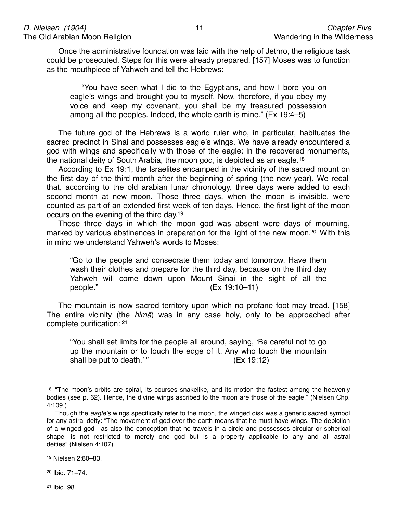Once the administrative foundation was laid with the help of Jethro, the religious task could be prosecuted. Steps for this were already prepared. [157] Moses was to function as the mouthpiece of Yahweh and tell the Hebrews:

"You have seen what I did to the Egyptians, and how I bore you on eagle's wings and brought you to myself. Now, therefore, if you obey my voice and keep my covenant, you shall be my treasured possession among all the peoples. Indeed, the whole earth is mine." (Ex 19:4–5)

The future god of the Hebrews is a world ruler who, in particular, habituates the sacred precinct in Sinai and possesses eagle's wings. We have already encountered a god with wings and specifically with those of the eagle: in the recovered monuments, the national deity of South Arabia, the moon god, is depicted as an eagle.[18](#page-10-0)

According to Ex 19:1, the Israelites encamped in the vicinity of the sacred mount on the first day of the third month after the beginning of spring (the new year). We recall that, according to the old arabian lunar chronology, three days were added to each second month at new moon. Those three days, when the moon is invisible, were counted as part of an extended first week of ten days. Hence, the first light of the moon occurs on the evening of the third day[.19](#page-10-1)

Those three days in which the moon god was absent were days of mourning, marked by various abstinences in preparation for the light of the new moon.<sup>20</sup> With this in mind we understand Yahweh's words to Moses:

"Go to the people and consecrate them today and tomorrow. Have them wash their clothes and prepare for the third day, because on the third day Yahweh will come down upon Mount Sinai in the sight of all the people." (Ex 19:10–11)

The mountain is now sacred territory upon which no profane foot may tread. [158] The entire vicinity (the *him*ā) was in any case holy, only to be approached after complete purification: [21](#page-10-3)

"You shall set limits for the people all around, saying, ʻBe careful not to go up the mountain or to touch the edge of it. Any who touch the mountain shall be put to death.'" (Ex 19:12)

<span id="page-10-3"></span><span id="page-10-2"></span>20 Ibid. 71–74.

<span id="page-10-0"></span><sup>&</sup>lt;sup>18</sup> "The moon's orbits are spiral, its courses snakelike, and its motion the fastest among the heavenly bodies (see p. 62). Hence, the divine wings ascribed to the moon are those of the eagle." (Nielsen Chp. 4:109.)

Though the *eagle*'*s* wings specifically refer to the moon, the winged disk was a generic sacred symbol for any astral deity: "The movement of god over the earth means that he must have wings. The depiction of a winged god—as also the conception that he travels in a circle and possesses circular or spherical shape—is not restricted to merely one god but is a property applicable to any and all astral deities" (Nielsen 4:107).

<span id="page-10-1"></span><sup>19</sup> Nielsen 2:80–83.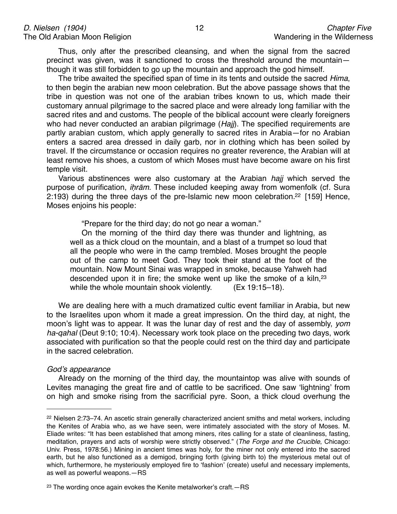Thus, only after the prescribed cleansing, and when the signal from the sacred precinct was given, was it sanctioned to cross the threshold around the mountain though it was still forbidden to go up the mountain and approach the god himself.

The tribe awaited the specified span of time in its tents and outside the sacred *Hima*, to then begin the arabian new moon celebration. But the above passage shows that the tribe in question was not one of the arabian tribes known to us, which made their customary annual pilgrimage to the sacred place and were already long familiar with the sacred rites and and customs. The people of the biblical account were clearly foreigners who had never conducted an arabian pilgrimage (*Hajj*). The specified requirements are partly arabian custom, which apply generally to sacred rites in Arabia—for no Arabian enters a sacred area dressed in daily garb, nor in clothing which has been soiled by travel. If the circumstance or occasion requires no greater reverence, the Arabian will at least remove his shoes, a custom of which Moses must have become aware on his first temple visit.

Various abstinences were also customary at the Arabian *hajj* which served the purpose of purification, *i*ḥ*r*ā*m*. These included keeping away from womenfolk (cf. Sura 2:193) during the three days of the pre-Islamic new moon celebration[.22](#page-11-0) [159] Hence, Moses enjoins his people:

"Prepare for the third day; do not go near a woman."

On the morning of the third day there was thunder and lightning, as well as a thick cloud on the mountain, and a blast of a trumpet so loud that all the people who were in the camp trembled. Moses brought the people out of the camp to meet God. They took their stand at the foot of the mountain. Now Mount Sinai was wrapped in smoke, because Yahweh had descended upon it in fire; the smoke went up like the smoke of a kiln, $23$ while the whole mountain shook violently. (Ex 19:15–18).

We are dealing here with a much dramatized cultic event familiar in Arabia, but new to the Israelites upon whom it made a great impression. On the third day, at night, the moon's light was to appear. It was the lunar day of rest and the day of assembly, *yom ha-qahal* (Deut 9:10; 10:4). Necessary work took place on the preceding two days, work associated with purification so that the people could rest on the third day and participate in the sacred celebration.

#### *God*'*s appearance*

Already on the morning of the third day, the mountaintop was alive with sounds of Levites managing the great fire and of cattle to be sacrificed. One saw ʻlightning' from on high and smoke rising from the sacrificial pyre. Soon, a thick cloud overhung the

<span id="page-11-0"></span><sup>22</sup> Nielsen 2:73–74. An ascetic strain generally characterized ancient smiths and metal workers, including the Kenites of Arabia who, as we have seen, were intimately associated with the story of Moses. M. Eliade writes: "It has been established that among miners, rites calling for a state of cleanliness, fasting, meditation, prayers and acts of worship were strictly observed." (*The Forge and the Crucible*, Chicago: Univ. Press, 1978:56.) Mining in ancient times was holy, for the miner not only entered into the sacred earth, but he also functioned as a demigod, bringing forth (giving birth to) the mysterious metal out of which, furthermore, he mysteriously employed fire to ʻfashion' (create) useful and necessary implements, as well as powerful weapons.—RS

<span id="page-11-1"></span> $23$  The wording once again evokes the Kenite metalworker's craft.  $-RS$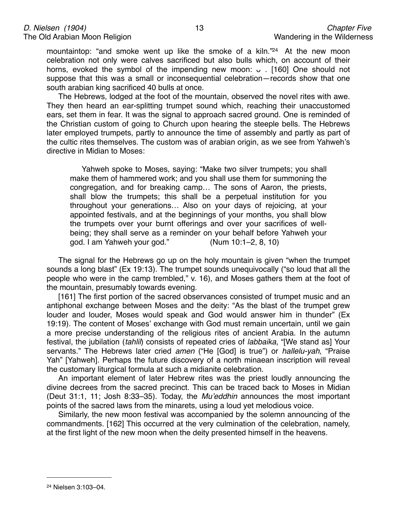mountaintop: "and smoke went up like the smoke of a kiln."<sup>24</sup> At the new moon celebration not only were calves sacrificed but also bulls which, on account of their horns, evoked the symbol of the impending new moon: ᴗ . [160] One should not suppose that this was a small or inconsequential celebration—records show that one south arabian king sacrificed 40 bulls at once.

The Hebrews, lodged at the foot of the mountain, observed the novel rites with awe. They then heard an ear-splitting trumpet sound which, reaching their unaccustomed ears, set them in fear. It was the signal to approach sacred ground. One is reminded of the Christian custom of going to Church upon hearing the steeple bells. The Hebrews later employed trumpets, partly to announce the time of assembly and partly as part of the cultic rites themselves. The custom was of arabian origin, as we see from Yahweh's directive in Midian to Moses:

Yahweh spoke to Moses, saying: "Make two silver trumpets; you shall make them of hammered work; and you shall use them for summoning the congregation, and for breaking camp… The sons of Aaron, the priests, shall blow the trumpets; this shall be a perpetual institution for you throughout your generations… Also on your days of rejoicing, at your appointed festivals, and at the beginnings of your months, you shall blow the trumpets over your burnt offerings and over your sacrifices of wellbeing; they shall serve as a reminder on your behalf before Yahweh your god. I am Yahweh your god."  $(Num 10:1-2, 8, 10)$ 

The signal for the Hebrews go up on the holy mountain is given "when the trumpet sounds a long blast" (Ex 19:13). The trumpet sounds unequivocally ("so loud that all the people who were in the camp trembled," v. 16), and Moses gathers them at the foot of the mountain, presumably towards evening.

[161] The first portion of the sacred observances consisted of trumpet music and an antiphonal exchange between Moses and the deity: "As the blast of the trumpet grew louder and louder, Moses would speak and God would answer him in thunder" (Ex 19:19). The content of Moses' exchange with God must remain uncertain, until we gain a more precise understanding of the religious rites of ancient Arabia. In the autumn festival, the jubilation (*tahlil*) consists of repeated cries of *labbaika*, "[We stand as] Your servants." The Hebrews later cried *amen* ("He [God] is true") or *hallelu-yah*, "Praise Yah" [Yahweh]. Perhaps the future discovery of a north minaean inscription will reveal the customary liturgical formula at such a midianite celebration.

An important element of later Hebrew rites was the priest loudly announcing the divine decrees from the sacred precinct. This can be traced back to Moses in Midian (Deut 31:1, 11; Josh 8:33–35). Today, the *Mu*'*eddhin* announces the most important points of the sacred laws from the minarets, using a loud yet melodious voice.

Similarly, the new moon festival was accompanied by the solemn announcing of the commandments. [162] This occurred at the very culmination of the celebration, namely, at the first light of the new moon when the deity presented himself in the heavens.

<span id="page-12-0"></span><sup>24</sup> Nielsen 3:103–04.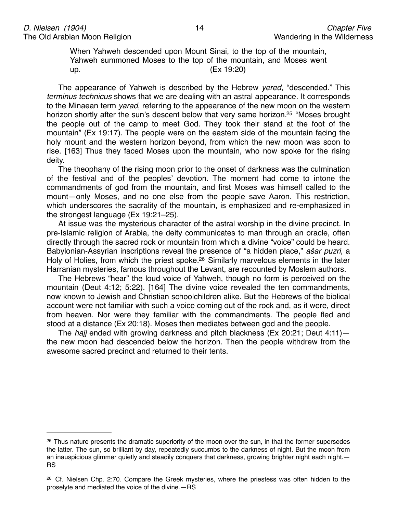When Yahweh descended upon Mount Sinai, to the top of the mountain, Yahweh summoned Moses to the top of the mountain, and Moses went  $up.$  (Ex 19:20)

The appearance of Yahweh is described by the Hebrew *yered*, "descended." This *terminus technicus* shows that we are dealing with an astral appearance. It corresponds to the Minaean term *yarad*, referring to the appearance of the new moon on the western horizon shortly after the sun's descent below that very same horizon.<sup>25</sup> "Moses brought the people out of the camp to meet God. They took their stand at the foot of the mountain" (Ex 19:17). The people were on the eastern side of the mountain facing the holy mount and the western horizon beyond, from which the new moon was soon to rise. [163] Thus they faced Moses upon the mountain, who now spoke for the rising deity.

The theophany of the rising moon prior to the onset of darkness was the culmination of the festival and of the peoples' devotion. The moment had come to intone the commandments of god from the mountain, and first Moses was himself called to the mount—only Moses, and no one else from the people save Aaron. This restriction, which underscores the sacrality of the mountain, is emphasized and re-emphasized in the strongest language (Ex 19:21–25).

At issue was the mysterious character of the astral worship in the divine precinct. In pre-Islamic religion of Arabia, the deity communicates to man through an oracle, often directly through the sacred rock or mountain from which a divine "voice" could be heard. Babylonian-Assyrian inscriptions reveal the presence of "a hidden place," *a*š*ar puzri*, a Holy of Holies, from which the priest spoke.<sup>26</sup> Similarly marvelous elements in the later Harranian mysteries, famous throughout the Levant, are recounted by Moslem authors.

The Hebrews "hear" the loud voice of Yahweh, though no form is perceived on the mountain (Deut 4:12; 5:22). [164] The divine voice revealed the ten commandments, now known to Jewish and Christian schoolchildren alike. But the Hebrews of the biblical account were not familiar with such a voice coming out of the rock and, as it were, direct from heaven. Nor were they familiar with the commandments. The people fled and stood at a distance (Ex 20:18). Moses then mediates between god and the people.

The *hajj* ended with growing darkness and pitch blackness (Ex 20:21; Deut 4:11) the new moon had descended below the horizon. Then the people withdrew from the awesome sacred precinct and returned to their tents.

<span id="page-13-0"></span><sup>&</sup>lt;sup>25</sup> Thus nature presents the dramatic superiority of the moon over the sun, in that the former supersedes the latter. The sun, so brilliant by day, repeatedly succumbs to the darkness of night. But the moon from an inauspicious glimmer quietly and steadily conquers that darkness, growing brighter night each night.— RS

<span id="page-13-1"></span><sup>&</sup>lt;sup>26</sup> Cf. Nielsen Chp. 2:70. Compare the Greek mysteries, where the priestess was often hidden to the proselyte and mediated the voice of the divine.—RS